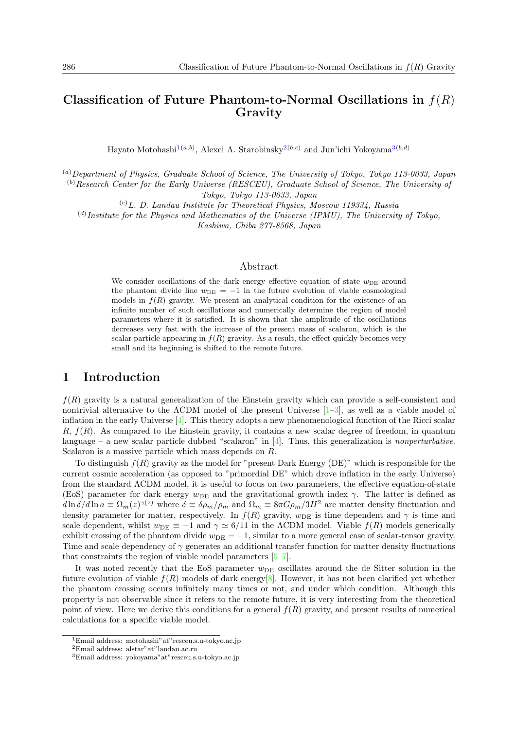# **Classification of Future Phantom-to-Normal Oscillations in** *f*(*R*) **Gravity**

Hayato Motohashi<sup>[1](#page-0-0)(*a,b*)</sup>, Alexei A. Starobinsky<sup>[2](#page-0-1)(*b,c*)</sup> and Jun'ichi Yokoyama<sup>[3](#page-0-2)(*b,d*)</sup>

(*a*)*Department of Physics, Graduate School of Science, The University of Tokyo, Tokyo 113-0033, Japan* (*b*)*Research Center for the Early Universe (RESCEU), Graduate School of Science, The University of Tokyo, Tokyo 113-0033, Japan*

(*c*)*L. D. Landau Institute for Theoretical Physics, Moscow 119334, Russia*

(*d*) *Institute for the Physics and Mathematics of the Universe (IPMU), The University of Tokyo,*

*Kashiwa, Chiba 277-8568, Japan*

#### Abstract

We consider oscillations of the dark energy effective equation of state  $w_{\text{DE}}$  around the phantom divide line  $w_{\text{DE}} = -1$  in the future evolution of viable cosmological models in  $f(R)$  gravity. We present an analytical condition for the existence of an infinite number of such oscillations and numerically determine the region of model parameters where it is satisfied. It is shown that the amplitude of the oscillations decreases very fast with the increase of the present mass of scalaron, which is the scalar particle appearing in  $f(R)$  gravity. As a result, the effect quickly becomes very small and its beginning is shifted to the remote future.

## **1 Introduction**

*f*(*R*) gravity is a natural generalization of the Einstein gravity which can provide a self-consistent and nontrivial alternative to the ΛCDM model of the present Universe [[1–](#page-3-0)[3\]](#page-3-1), as well as a viable model of inflation in the early Universe [[4\]](#page-3-2). This theory adopts a new phenomenological function of the Ricci scalar *R*, *f*(*R*). As compared to the Einstein gravity, it contains a new scalar degree of freedom, in quantum language – a new scalar particle dubbed "scalaron" in [[4\]](#page-3-2). Thus, this generalization is *nonperturbative*. Scalaron is a massive particle which mass depends on *R*.

To distinguish  $f(R)$  gravity as the model for "present Dark Energy (DE)" which is responsible for the current cosmic acceleration (as opposed to "primordial DE" which drove inflation in the early Universe) from the standard ΛCDM model, it is useful to focus on two parameters, the effective equation-of-state (EoS) parameter for dark energy  $w_{\text{DE}}$  and the gravitational growth index  $\gamma$ . The latter is defined as  $d\ln\delta/d\ln a \equiv \Omega_m(z)^{\gamma(z)}$  where  $\delta \equiv \delta\rho_m/\rho_m$  and  $\Omega_m \equiv 8\pi G\rho_m/3H^2$  are matter density fluctuation and density parameter for matter, respectively. In  $f(R)$  gravity,  $w_{DE}$  is time dependent and  $\gamma$  is time and scale dependent, whilst  $w_{DE} \equiv -1$  and  $\gamma \simeq 6/11$  in the  $\Lambda$ CDM model. Viable  $f(R)$  models generically exhibit crossing of the phantom divide  $w_{\text{DE}} = -1$ , similar to a more general case of scalar-tensor gravity. Time and scale dependency of  $\gamma$  generates an additional transfer function for matter density fluctuations that constraints the region of viable model parameters [[5–](#page-3-3)[7\]](#page-3-4).

It was noted recently that the EoS parameter  $w<sub>DE</sub>$  oscillates around the de Sitter solution in the future evolution of viable  $f(R)$  models of dark energy[\[8](#page-3-5)]. However, it has not been clarified yet whether the phantom crossing occurs infinitely many times or not, and under which condition. Although this property is not observable since it refers to the remote future, it is very interesting from the theoretical point of view. Here we derive this conditions for a general *f*(*R*) gravity, and present results of numerical calculations for a specific viable model.

<span id="page-0-0"></span><sup>1</sup>Email address: motohashi"at"resceu.s.u-tokyo.ac.jp

<span id="page-0-1"></span> $^2$ Email address: alstar"<br/>at "landau.ac.ru

<span id="page-0-2"></span><sup>3</sup>Email address: yokoyama"at"resceu.s.u-tokyo.ac.jp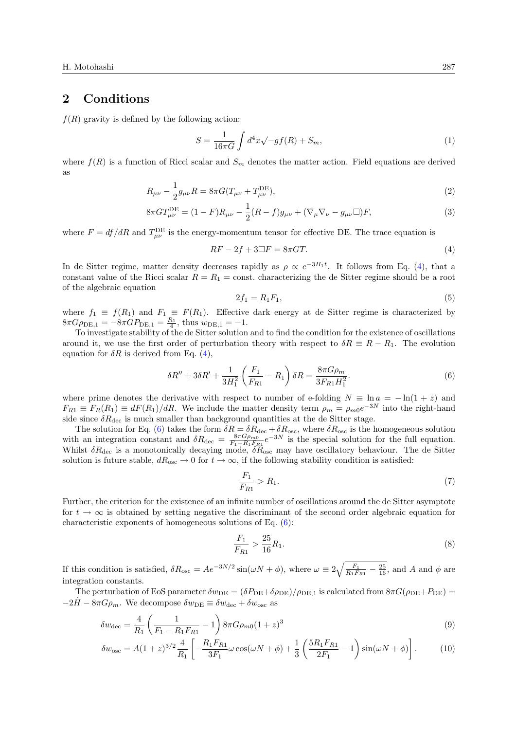### **2 Conditions**

 $f(R)$  gravity is defined by the following action:

$$
S = \frac{1}{16\pi G} \int d^4x \sqrt{-g} f(R) + S_m,
$$
\n(1)

where  $f(R)$  is a function of Ricci scalar and  $S_m$  denotes the matter action. Field equations are derived as

$$
R_{\mu\nu} - \frac{1}{2}g_{\mu\nu}R = 8\pi G(T_{\mu\nu} + T_{\mu\nu}^{\text{DE}}),
$$
\n(2)

$$
8\pi G T_{\mu\nu}^{\text{DE}} = (1 - F)R_{\mu\nu} - \frac{1}{2}(R - f)g_{\mu\nu} + (\nabla_{\mu}\nabla_{\nu} - g_{\mu\nu}\Box)F,
$$
\n(3)

where  $F = df/dR$  and  $T_{\mu\nu}^{\text{DE}}$  is the energy-momentum tensor for effective DE. The trace equation is

<span id="page-1-2"></span>
$$
RF - 2f + 3\Box F = 8\pi GT.
$$
\n<sup>(4)</sup>

In de Sitter regime, matter density decreases rapidly as  $\rho \propto e^{-3H_1t}$ . It follows from Eq. ([4\)](#page-1-0), that a constant value of the Ricci scalar  $R = R_1 = \text{const.}$  characterizing the de Sitter regime should be a root of the algebraic equation

<span id="page-1-1"></span><span id="page-1-0"></span>
$$
2f_1 = R_1 F_1,\tag{5}
$$

where  $f_1 \equiv f(R_1)$  and  $F_1 \equiv F(R_1)$ . Effective dark energy at de Sitter regime is characterized by  $8\pi G\rho_{\text{DE},1} = -8\pi G P_{\text{DE},1} = \frac{R_1}{4}$ , thus  $w_{\text{DE},1} = -1$ .

To investigate stability of the de Sitter solution and to find the condition for the existence of oscillations around it, we use the first order of perturbation theory with respect to  $\delta R \equiv R - R_1$ . The evolution equation for  $\delta R$  is derived from Eq. [\(4](#page-1-0)),

$$
\delta R'' + 3\delta R' + \frac{1}{3H_1^2} \left(\frac{F_1}{F_{R1}} - R_1\right) \delta R = \frac{8\pi G \rho_m}{3F_{R1}H_1^2}.
$$
 (6)

where prime denotes the derivative with respect to number of e-folding  $N \equiv \ln a = -\ln(1+z)$  and  $F_{R1} \equiv F_R(R_1) \equiv dF(R_1)/dR$ . We include the matter density term  $\rho_m = \rho_{m0}e^{-3N}$  into the right-hand side since  $\delta R_{\text{dec}}$  is much smaller than background quantities at the de Sitter stage.

The solution for Eq. [\(6](#page-1-1)) takes the form  $\delta R = \delta R_{\text{dec}} + \delta R_{\text{osc}}$ , where  $\delta R_{\text{osc}}$  is the homogeneous solution with an integration constant and  $\delta R_{\text{dec}} = \frac{8\pi G \rho_{m0}}{F_1 - R_1 F_{R1}} e^{-3N}$  is the special solution for the full equation. Whilst *δR*dec is a monotonically decaying mode, *δR*osc may have oscillatory behaviour. The de Sitter solution is future stable,  $dR_{osc} \rightarrow 0$  for  $t \rightarrow \infty$ , if the following stability condition is satisfied:

<span id="page-1-3"></span>
$$
\frac{F_1}{F_{R1}} > R_1. \tag{7}
$$

Further, the criterion for the existence of an infinite number of oscillations around the de Sitter asymptote for  $t \to \infty$  is obtained by setting negative the discriminant of the second order algebraic equation for characteristic exponents of homogeneous solutions of Eq. [\(6](#page-1-1)):

<span id="page-1-4"></span>
$$
\frac{F_1}{F_{R1}} > \frac{25}{16} R_1. \tag{8}
$$

If this condition is satisfied,  $\delta R_{\text{osc}} = Ae^{-3N/2} \sin(\omega N + \phi)$ , where  $\omega \equiv 2\sqrt{\frac{F_1}{R_1 F_{R1}} - \frac{25}{16}}$ , and *A* and  $\phi$  are integration constants.

The perturbation of EoS parameter  $\delta w_{\text{DE}} = (\delta P_{\text{DE}} + \delta \rho_{\text{DE}})/\rho_{\text{DE},1}$  is calculated from  $8\pi G(\rho_{\text{DE}} + P_{\text{DE}})$  $-2H - 8\pi G\rho_m$ . We decompose  $\delta w_{\text{DE}} \equiv \delta w_{\text{dec}} + \delta w_{\text{osc}}$  as

$$
\delta w_{\text{dec}} = \frac{4}{R_1} \left( \frac{1}{F_1 - R_1 F_{R1}} - 1 \right) 8\pi G \rho_{m0} (1+z)^3 \tag{9}
$$

$$
\delta w_{\rm osc} = A(1+z)^{3/2} \frac{4}{R_1} \left[ -\frac{R_1 F_{R1}}{3F_1} \omega \cos(\omega N + \phi) + \frac{1}{3} \left( \frac{5R_1 F_{R1}}{2F_1} - 1 \right) \sin(\omega N + \phi) \right]. \tag{10}
$$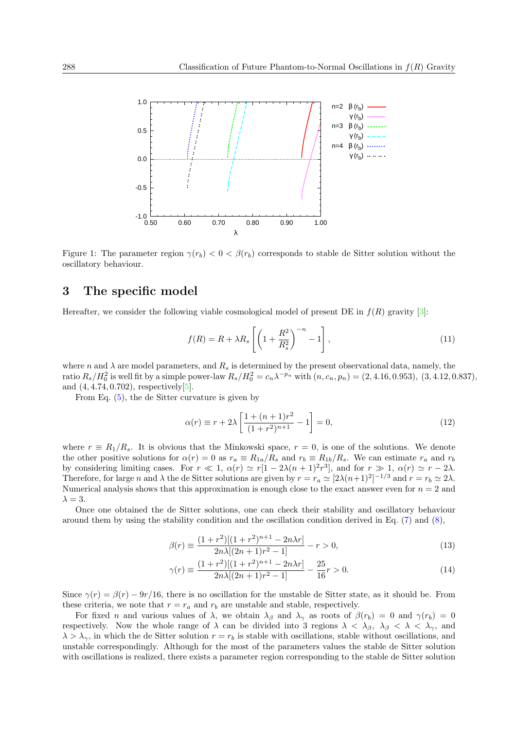

<span id="page-2-0"></span>Figure 1: The parameter region  $\gamma(r_b) < 0 < \beta(r_b)$  corresponds to stable de Sitter solution without the oscillatory behaviour.

## **3 The specific model**

Hereafter, we consider the following viable cosmological model of present DE in  $f(R)$  gravity [\[3](#page-3-1)]:

$$
f(R) = R + \lambda R_s \left[ \left( 1 + \frac{R^2}{R_s^2} \right)^{-n} - 1 \right],
$$
\n(11)

where *n* and  $\lambda$  are model parameters, and  $R_s$  is determined by the present observational data, namely, the ratio  $R_s/H_0^2$  is well fit by a simple power-law  $R_s/H_0^2 = c_n \lambda^{-p_n}$  with  $(n, c_n, p_n) = (2, 4.16, 0.953), (3, 4.12, 0.837),$ and (4*,* 4*.*74*,* 0*.*702), respectively[\[5](#page-3-3)].

From Eq. [\(5](#page-1-2)), the de Sitter curvature is given by

$$
\alpha(r) \equiv r + 2\lambda \left[ \frac{1 + (n+1)r^2}{(1+r^2)^{n+1}} - 1 \right] = 0,\tag{12}
$$

where  $r \equiv R_1/R_s$ . It is obvious that the Minkowski space,  $r = 0$ , is one of the solutions. We denote the other positive solutions for  $\alpha(r) = 0$  as  $r_a \equiv R_{1a}/R_s$  and  $r_b \equiv R_{1b}/R_s$ . We can estimate  $r_a$  and  $r_b$ by considering limiting cases. For  $r \ll 1$ ,  $\alpha(r) \simeq r[1 - 2\lambda(n+1)^2r^3]$ , and for  $r \gg 1$ ,  $\alpha(r) \simeq r - 2\lambda$ . Therefore, for large *n* and  $\lambda$  the de Sitter solutions are given by  $r = r_a \approx [2\lambda(n+1)^2]^{-1/3}$  and  $r = r_b \approx 2\lambda$ . Numerical analysis shows that this approximation is enough close to the exact answer even for  $n = 2$  and  $\lambda = 3$ .

Once one obtained the de Sitter solutions, one can check their stability and oscillatory behaviour around them by using the stability condition and the oscillation condition derived in Eq. ([7\)](#page-1-3) and [\(8](#page-1-4)),

$$
\beta(r) \equiv \frac{(1+r^2)[(1+r^2)^{n+1} - 2n\lambda r]}{2n\lambda[(2n+1)r^2 - 1]} - r > 0,
$$
\n(13)

$$
\gamma(r) \equiv \frac{(1+r^2)[(1+r^2)^{n+1} - 2n\lambda r]}{2n\lambda[(2n+1)r^2 - 1]} - \frac{25}{16}r > 0.
$$
\n(14)

Since  $\gamma(r) = \beta(r) - 9r/16$ , there is no oscillation for the unstable de Sitter state, as it should be. From these criteria, we note that  $r = r_a$  and  $r_b$  are unstable and stable, respectively.

For fixed *n* and various values of  $\lambda$ , we obtain  $\lambda_{\beta}$  and  $\lambda_{\gamma}$  as roots of  $\beta(r_b) = 0$  and  $\gamma(r_b) = 0$ respectively. Now the whole range of  $\lambda$  can be divided into 3 regions  $\lambda < \lambda_{\beta}$ ,  $\lambda_{\beta} < \lambda < \lambda_{\gamma}$ , and  $\lambda > \lambda_{\gamma}$ , in which the de Sitter solution  $r = r_b$  is stable with oscillations, stable without oscillations, and unstable correspondingly. Although for the most of the parameters values the stable de Sitter solution with oscillations is realized, there exists a parameter region corresponding to the stable de Sitter solution